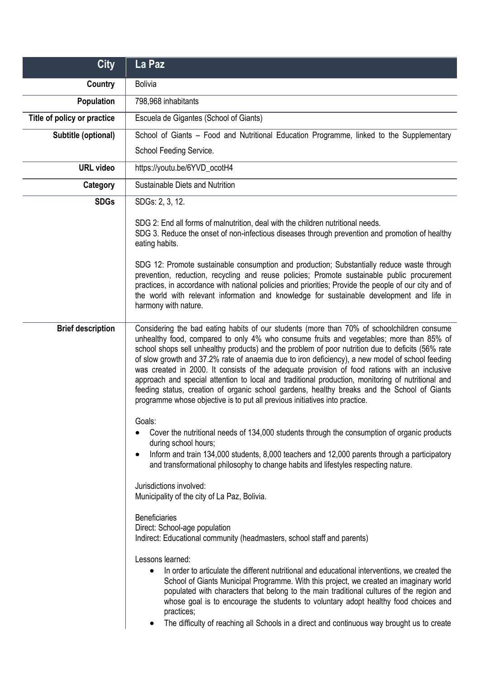| <b>City</b>                 | La Paz                                                                                                                                                                                                                                                                                                                                                                                                                                                                                                                                                                                                                                                                                                                                                                           |
|-----------------------------|----------------------------------------------------------------------------------------------------------------------------------------------------------------------------------------------------------------------------------------------------------------------------------------------------------------------------------------------------------------------------------------------------------------------------------------------------------------------------------------------------------------------------------------------------------------------------------------------------------------------------------------------------------------------------------------------------------------------------------------------------------------------------------|
| <b>Country</b>              | <b>Bolivia</b>                                                                                                                                                                                                                                                                                                                                                                                                                                                                                                                                                                                                                                                                                                                                                                   |
| Population                  | 798,968 inhabitants                                                                                                                                                                                                                                                                                                                                                                                                                                                                                                                                                                                                                                                                                                                                                              |
| Title of policy or practice | Escuela de Gigantes (School of Giants)                                                                                                                                                                                                                                                                                                                                                                                                                                                                                                                                                                                                                                                                                                                                           |
| Subtitle (optional)         | School of Giants - Food and Nutritional Education Programme, linked to the Supplementary                                                                                                                                                                                                                                                                                                                                                                                                                                                                                                                                                                                                                                                                                         |
|                             | School Feeding Service.                                                                                                                                                                                                                                                                                                                                                                                                                                                                                                                                                                                                                                                                                                                                                          |
| <b>URL</b> video            | https://youtu.be/6YVD_ocotH4                                                                                                                                                                                                                                                                                                                                                                                                                                                                                                                                                                                                                                                                                                                                                     |
| Category                    | Sustainable Diets and Nutrition                                                                                                                                                                                                                                                                                                                                                                                                                                                                                                                                                                                                                                                                                                                                                  |
| <b>SDGs</b>                 | SDGs: 2, 3, 12.                                                                                                                                                                                                                                                                                                                                                                                                                                                                                                                                                                                                                                                                                                                                                                  |
|                             | SDG 2: End all forms of malnutrition, deal with the children nutritional needs.<br>SDG 3. Reduce the onset of non-infectious diseases through prevention and promotion of healthy<br>eating habits.                                                                                                                                                                                                                                                                                                                                                                                                                                                                                                                                                                              |
|                             | SDG 12: Promote sustainable consumption and production; Substantially reduce waste through<br>prevention, reduction, recycling and reuse policies; Promote sustainable public procurement<br>practices, in accordance with national policies and priorities; Provide the people of our city and of<br>the world with relevant information and knowledge for sustainable development and life in<br>harmony with nature.                                                                                                                                                                                                                                                                                                                                                          |
| <b>Brief description</b>    | Considering the bad eating habits of our students (more than 70% of schoolchildren consume<br>unhealthy food, compared to only 4% who consume fruits and vegetables; more than 85% of<br>school shops sell unhealthy products) and the problem of poor nutrition due to deficits (56% rate<br>of slow growth and 37.2% rate of anaemia due to iron deficiency), a new model of school feeding<br>was created in 2000. It consists of the adequate provision of food rations with an inclusive<br>approach and special attention to local and traditional production, monitoring of nutritional and<br>feeding status, creation of organic school gardens, healthy breaks and the School of Giants<br>programme whose objective is to put all previous initiatives into practice. |
|                             | Goals:<br>Cover the nutritional needs of 134,000 students through the consumption of organic products<br>during school hours;<br>Inform and train 134,000 students, 8,000 teachers and 12,000 parents through a participatory<br>and transformational philosophy to change habits and lifestyles respecting nature.<br>Jurisdictions involved:<br>Municipality of the city of La Paz, Bolivia.<br><b>Beneficiaries</b><br>Direct: School-age population                                                                                                                                                                                                                                                                                                                          |
|                             | Indirect: Educational community (headmasters, school staff and parents)<br>Lessons learned:<br>In order to articulate the different nutritional and educational interventions, we created the<br>School of Giants Municipal Programme. With this project, we created an imaginary world<br>populated with characters that belong to the main traditional cultures of the region and<br>whose goal is to encourage the students to voluntary adopt healthy food choices and<br>practices;<br>The difficulty of reaching all Schools in a direct and continuous way brought us to create                                                                                                                                                                                           |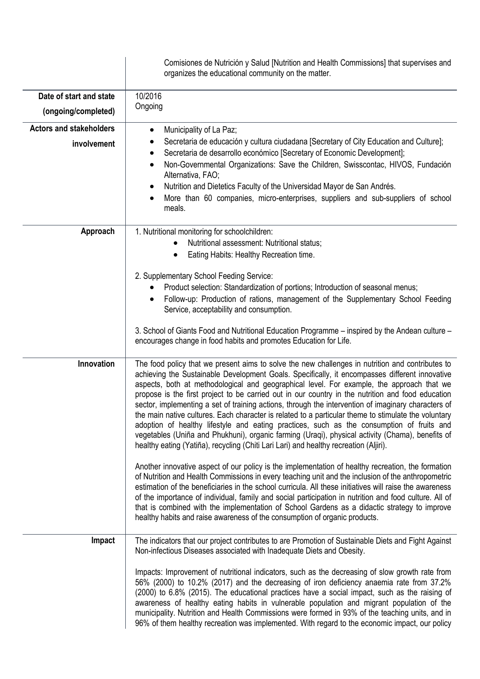|                                               | Comisiones de Nutrición y Salud [Nutrition and Health Commissions] that supervises and<br>organizes the educational community on the matter.                                                                                                                                                                                                                                                                                                                                                                                                                                                                                                                                                                                                                                                                                                                                                                                                                                                                                                                                                                                                                                                                                                                                                                                                                                                                                                                                                                                 |
|-----------------------------------------------|------------------------------------------------------------------------------------------------------------------------------------------------------------------------------------------------------------------------------------------------------------------------------------------------------------------------------------------------------------------------------------------------------------------------------------------------------------------------------------------------------------------------------------------------------------------------------------------------------------------------------------------------------------------------------------------------------------------------------------------------------------------------------------------------------------------------------------------------------------------------------------------------------------------------------------------------------------------------------------------------------------------------------------------------------------------------------------------------------------------------------------------------------------------------------------------------------------------------------------------------------------------------------------------------------------------------------------------------------------------------------------------------------------------------------------------------------------------------------------------------------------------------------|
| Date of start and state                       | 10/2016                                                                                                                                                                                                                                                                                                                                                                                                                                                                                                                                                                                                                                                                                                                                                                                                                                                                                                                                                                                                                                                                                                                                                                                                                                                                                                                                                                                                                                                                                                                      |
| (ongoing/completed)                           | Ongoing                                                                                                                                                                                                                                                                                                                                                                                                                                                                                                                                                                                                                                                                                                                                                                                                                                                                                                                                                                                                                                                                                                                                                                                                                                                                                                                                                                                                                                                                                                                      |
| <b>Actors and stakeholders</b><br>involvement | Municipality of La Paz;<br>$\bullet$<br>Secretaria de educación y cultura ciudadana [Secretary of City Education and Culture];<br>Secretaria de desarrollo económico [Secretary of Economic Development];<br>$\bullet$<br>Non-Governmental Organizations: Save the Children, Swisscontac, HIVOS, Fundación<br>٠<br>Alternativa, FAO;<br>Nutrition and Dietetics Faculty of the Universidad Mayor de San Andrés.<br>More than 60 companies, micro-enterprises, suppliers and sub-suppliers of school<br>$\bullet$<br>meals.                                                                                                                                                                                                                                                                                                                                                                                                                                                                                                                                                                                                                                                                                                                                                                                                                                                                                                                                                                                                   |
| Approach                                      | 1. Nutritional monitoring for schoolchildren:<br>Nutritional assessment: Nutritional status;<br>$\bullet$<br>Eating Habits: Healthy Recreation time.<br>٠<br>2. Supplementary School Feeding Service:<br>Product selection: Standardization of portions; Introduction of seasonal menus;<br>$\bullet$<br>Follow-up: Production of rations, management of the Supplementary School Feeding<br>Service, acceptability and consumption.<br>3. School of Giants Food and Nutritional Education Programme – inspired by the Andean culture –<br>encourages change in food habits and promotes Education for Life.                                                                                                                                                                                                                                                                                                                                                                                                                                                                                                                                                                                                                                                                                                                                                                                                                                                                                                                 |
| Innovation                                    | The food policy that we present aims to solve the new challenges in nutrition and contributes to<br>achieving the Sustainable Development Goals. Specifically, it encompasses different innovative<br>aspects, both at methodological and geographical level. For example, the approach that we<br>propose is the first project to be carried out in our country in the nutrition and food education<br>sector, implementing a set of training actions, through the intervention of imaginary characters of<br>the main native cultures. Each character is related to a particular theme to stimulate the voluntary<br>adoption of healthy lifestyle and eating practices, such as the consumption of fruits and<br>vegetables (Uniña and Phukhuni), organic farming (Uraqi), physical activity (Chama), benefits of<br>healthy eating (Yatiña), recycling (Chiti Lari Lari) and healthy recreation (Aljiri).<br>Another innovative aspect of our policy is the implementation of healthy recreation, the formation<br>of Nutrition and Health Commissions in every teaching unit and the inclusion of the anthropometric<br>estimation of the beneficiaries in the school curricula. All these initiatives will raise the awareness<br>of the importance of individual, family and social participation in nutrition and food culture. All of<br>that is combined with the implementation of School Gardens as a didactic strategy to improve<br>healthy habits and raise awareness of the consumption of organic products. |
| Impact                                        | The indicators that our project contributes to are Promotion of Sustainable Diets and Fight Against<br>Non-infectious Diseases associated with Inadequate Diets and Obesity.<br>Impacts: Improvement of nutritional indicators, such as the decreasing of slow growth rate from<br>56% (2000) to 10.2% (2017) and the decreasing of iron deficiency anaemia rate from 37.2%<br>(2000) to 6.8% (2015). The educational practices have a social impact, such as the raising of<br>awareness of healthy eating habits in vulnerable population and migrant population of the<br>municipality. Nutrition and Health Commissions were formed in 93% of the teaching units, and in<br>96% of them healthy recreation was implemented. With regard to the economic impact, our policy                                                                                                                                                                                                                                                                                                                                                                                                                                                                                                                                                                                                                                                                                                                                               |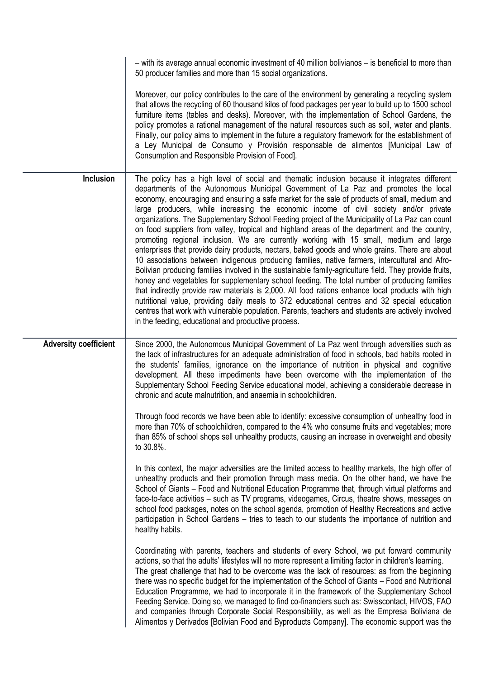|                              | - with its average annual economic investment of 40 million bolivianos - is beneficial to more than<br>50 producer families and more than 15 social organizations.                                                                                                                                                                                                                                                                                                                                                                                                                                                                                                                                                                                                                                                                                                                                                                                                                                                                                                                                                                                                                                                                                                                                                                                                                                                                                            |
|------------------------------|---------------------------------------------------------------------------------------------------------------------------------------------------------------------------------------------------------------------------------------------------------------------------------------------------------------------------------------------------------------------------------------------------------------------------------------------------------------------------------------------------------------------------------------------------------------------------------------------------------------------------------------------------------------------------------------------------------------------------------------------------------------------------------------------------------------------------------------------------------------------------------------------------------------------------------------------------------------------------------------------------------------------------------------------------------------------------------------------------------------------------------------------------------------------------------------------------------------------------------------------------------------------------------------------------------------------------------------------------------------------------------------------------------------------------------------------------------------|
|                              | Moreover, our policy contributes to the care of the environment by generating a recycling system<br>that allows the recycling of 60 thousand kilos of food packages per year to build up to 1500 school<br>furniture items (tables and desks). Moreover, with the implementation of School Gardens, the<br>policy promotes a rational management of the natural resources such as soil, water and plants.<br>Finally, our policy aims to implement in the future a regulatory framework for the establishment of<br>a Ley Municipal de Consumo y Provisión responsable de alimentos [Municipal Law of<br>Consumption and Responsible Provision of Food].                                                                                                                                                                                                                                                                                                                                                                                                                                                                                                                                                                                                                                                                                                                                                                                                      |
| Inclusion                    | The policy has a high level of social and thematic inclusion because it integrates different<br>departments of the Autonomous Municipal Government of La Paz and promotes the local<br>economy, encouraging and ensuring a safe market for the sale of products of small, medium and<br>large producers, while increasing the economic income of civil society and/or private<br>organizations. The Supplementary School Feeding project of the Municipality of La Paz can count<br>on food suppliers from valley, tropical and highland areas of the department and the country,<br>promoting regional inclusion. We are currently working with 15 small, medium and large<br>enterprises that provide dairy products, nectars, baked goods and whole grains. There are about<br>10 associations between indigenous producing families, native farmers, intercultural and Afro-<br>Bolivian producing families involved in the sustainable family-agriculture field. They provide fruits,<br>honey and vegetables for supplementary school feeding. The total number of producing families<br>that indirectly provide raw materials is 2,000. All food rations enhance local products with high<br>nutritional value, providing daily meals to 372 educational centres and 32 special education<br>centres that work with vulnerable population. Parents, teachers and students are actively involved<br>in the feeding, educational and productive process. |
| <b>Adversity coefficient</b> | Since 2000, the Autonomous Municipal Government of La Paz went through adversities such as<br>the lack of infrastructures for an adequate administration of food in schools, bad habits rooted in<br>the students' families, ignorance on the importance of nutrition in physical and cognitive<br>development. All these impediments have been overcome with the implementation of the<br>Supplementary School Feeding Service educational model, achieving a considerable decrease in<br>chronic and acute malnutrition, and anaemia in schoolchildren.                                                                                                                                                                                                                                                                                                                                                                                                                                                                                                                                                                                                                                                                                                                                                                                                                                                                                                     |
|                              | Through food records we have been able to identify: excessive consumption of unhealthy food in<br>more than 70% of schoolchildren, compared to the 4% who consume fruits and vegetables; more<br>than 85% of school shops sell unhealthy products, causing an increase in overweight and obesity<br>to 30.8%.                                                                                                                                                                                                                                                                                                                                                                                                                                                                                                                                                                                                                                                                                                                                                                                                                                                                                                                                                                                                                                                                                                                                                 |
|                              | In this context, the major adversities are the limited access to healthy markets, the high offer of<br>unhealthy products and their promotion through mass media. On the other hand, we have the<br>School of Giants - Food and Nutritional Education Programme that, through virtual platforms and<br>face-to-face activities – such as TV programs, videogames, Circus, theatre shows, messages on<br>school food packages, notes on the school agenda, promotion of Healthy Recreations and active<br>participation in School Gardens – tries to teach to our students the importance of nutrition and<br>healthy habits.                                                                                                                                                                                                                                                                                                                                                                                                                                                                                                                                                                                                                                                                                                                                                                                                                                  |
|                              | Coordinating with parents, teachers and students of every School, we put forward community<br>actions, so that the adults' lifestyles will no more represent a limiting factor in children's learning.<br>The great challenge that had to be overcome was the lack of resources: as from the beginning<br>there was no specific budget for the implementation of the School of Giants – Food and Nutritional<br>Education Programme, we had to incorporate it in the framework of the Supplementary School<br>Feeding Service. Doing so, we managed to find co-financiers such as: Swisscontact, HIVOS, FAO<br>and companies through Corporate Social Responsibility, as well as the Empresa Boliviana de<br>Alimentos y Derivados [Bolivian Food and Byproducts Company]. The economic support was the                                                                                                                                                                                                                                                                                                                                                                                                                                                                                                                                                                                                                                                       |